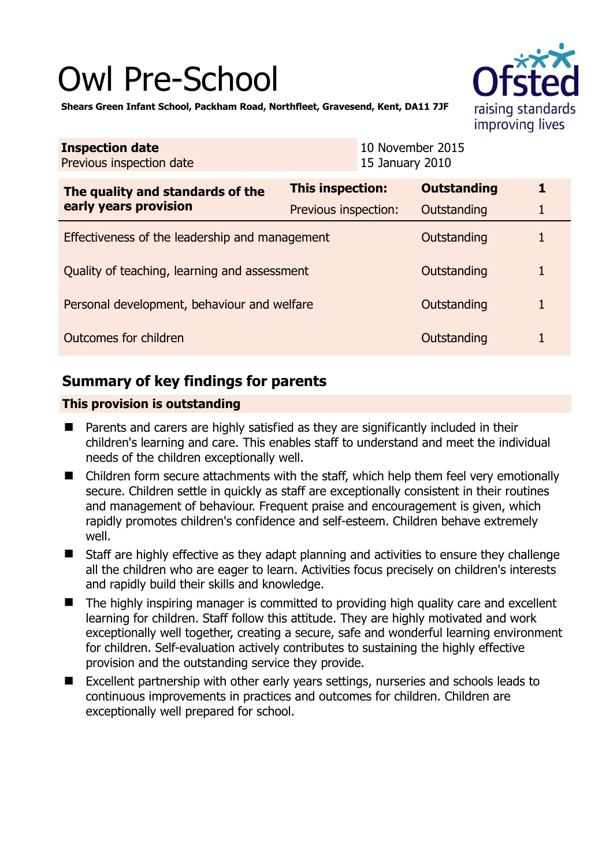# Owl Pre-School



**Shears Green Infant School, Packham Road, Northfleet, Gravesend, Kent, DA11 7JF** 

| <b>Inspection date</b><br>Previous inspection date        | 15 January 2010         | 10 November 2015   |   |
|-----------------------------------------------------------|-------------------------|--------------------|---|
| The quality and standards of the<br>early years provision | <b>This inspection:</b> | <b>Outstanding</b> | 1 |
|                                                           | Previous inspection:    | Outstanding        | 1 |
| Effectiveness of the leadership and management            |                         | Outstanding        |   |
| Quality of teaching, learning and assessment              |                         | Outstanding        |   |
| Personal development, behaviour and welfare               |                         | Outstanding        | 1 |
| Outcomes for children                                     |                         | Outstanding        |   |

# **Summary of key findings for parents**

## **This provision is outstanding**

- Parents and carers are highly satisfied as they are significantly included in their children's learning and care. This enables staff to understand and meet the individual needs of the children exceptionally well.
- Children form secure attachments with the staff, which help them feel very emotionally secure. Children settle in quickly as staff are exceptionally consistent in their routines and management of behaviour. Frequent praise and encouragement is given, which rapidly promotes children's confidence and self-esteem. Children behave extremely well.
- Staff are highly effective as they adapt planning and activities to ensure they challenge all the children who are eager to learn. Activities focus precisely on children's interests and rapidly build their skills and knowledge.
- $\blacksquare$  The highly inspiring manager is committed to providing high quality care and excellent learning for children. Staff follow this attitude. They are highly motivated and work exceptionally well together, creating a secure, safe and wonderful learning environment for children. Self-evaluation actively contributes to sustaining the highly effective provision and the outstanding service they provide.
- Excellent partnership with other early years settings, nurseries and schools leads to continuous improvements in practices and outcomes for children. Children are exceptionally well prepared for school.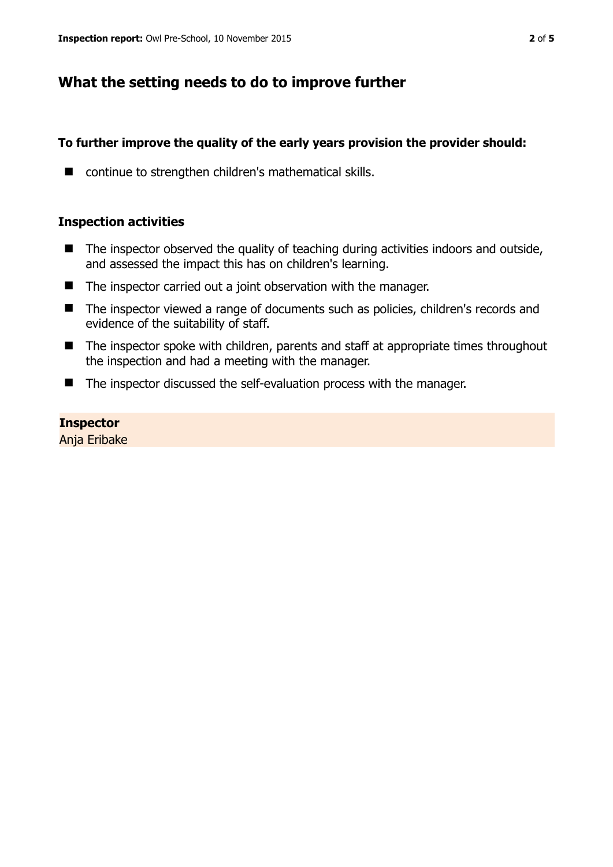# **What the setting needs to do to improve further**

### **To further improve the quality of the early years provision the provider should:**

■ continue to strengthen children's mathematical skills.

### **Inspection activities**

- The inspector observed the quality of teaching during activities indoors and outside, and assessed the impact this has on children's learning.
- The inspector carried out a joint observation with the manager.
- The inspector viewed a range of documents such as policies, children's records and evidence of the suitability of staff.
- The inspector spoke with children, parents and staff at appropriate times throughout the inspection and had a meeting with the manager.
- The inspector discussed the self-evaluation process with the manager.

**Inspector**  Anja Eribake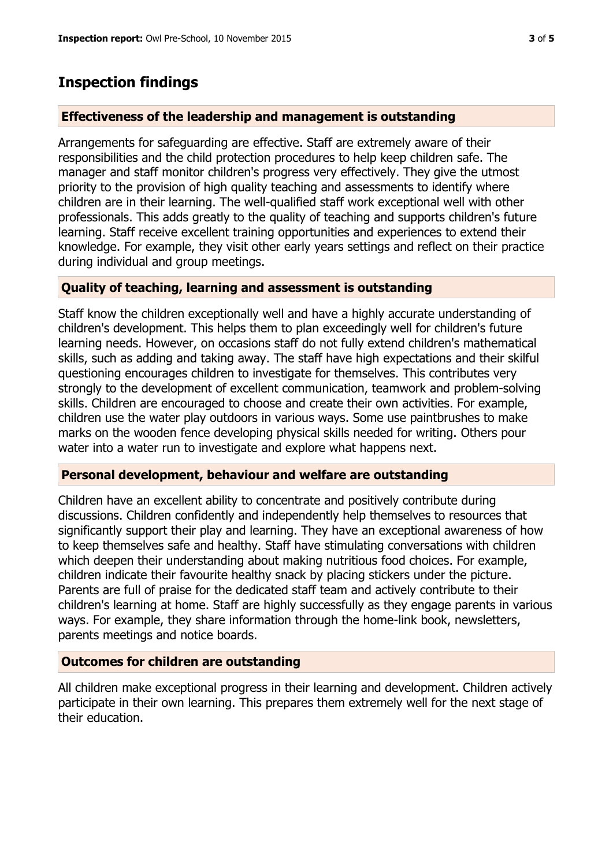# **Inspection findings**

#### **Effectiveness of the leadership and management is outstanding**

Arrangements for safeguarding are effective. Staff are extremely aware of their responsibilities and the child protection procedures to help keep children safe. The manager and staff monitor children's progress very effectively. They give the utmost priority to the provision of high quality teaching and assessments to identify where children are in their learning. The well-qualified staff work exceptional well with other professionals. This adds greatly to the quality of teaching and supports children's future learning. Staff receive excellent training opportunities and experiences to extend their knowledge. For example, they visit other early years settings and reflect on their practice during individual and group meetings.

#### **Quality of teaching, learning and assessment is outstanding**

Staff know the children exceptionally well and have a highly accurate understanding of children's development. This helps them to plan exceedingly well for children's future learning needs. However, on occasions staff do not fully extend children's mathematical skills, such as adding and taking away. The staff have high expectations and their skilful questioning encourages children to investigate for themselves. This contributes very strongly to the development of excellent communication, teamwork and problem-solving skills. Children are encouraged to choose and create their own activities. For example, children use the water play outdoors in various ways. Some use paintbrushes to make marks on the wooden fence developing physical skills needed for writing. Others pour water into a water run to investigate and explore what happens next.

#### **Personal development, behaviour and welfare are outstanding**

Children have an excellent ability to concentrate and positively contribute during discussions. Children confidently and independently help themselves to resources that significantly support their play and learning. They have an exceptional awareness of how to keep themselves safe and healthy. Staff have stimulating conversations with children which deepen their understanding about making nutritious food choices. For example, children indicate their favourite healthy snack by placing stickers under the picture. Parents are full of praise for the dedicated staff team and actively contribute to their children's learning at home. Staff are highly successfully as they engage parents in various ways. For example, they share information through the home-link book, newsletters, parents meetings and notice boards.

## **Outcomes for children are outstanding**

All children make exceptional progress in their learning and development. Children actively participate in their own learning. This prepares them extremely well for the next stage of their education.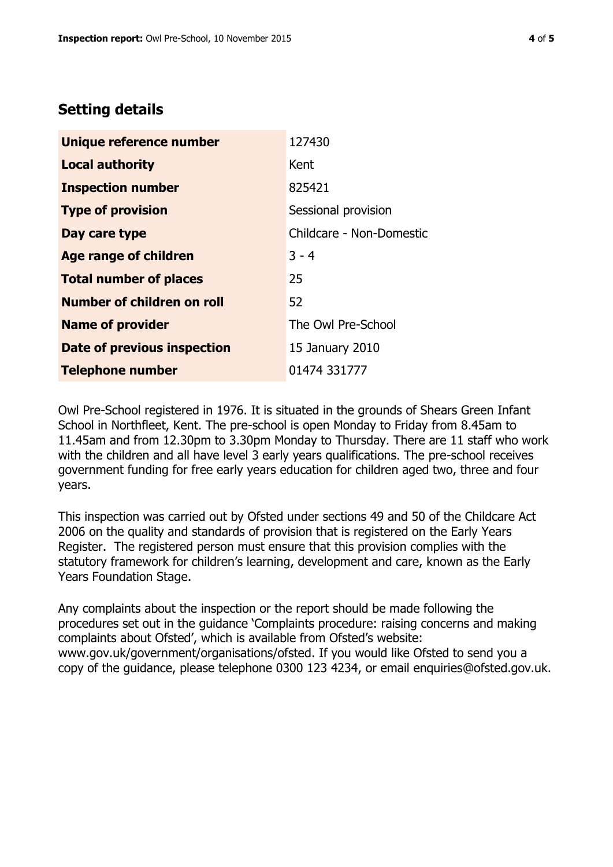## **Setting details**

| Unique reference number       | 127430                   |  |
|-------------------------------|--------------------------|--|
| <b>Local authority</b>        | Kent                     |  |
| <b>Inspection number</b>      | 825421                   |  |
| <b>Type of provision</b>      | Sessional provision      |  |
| Day care type                 | Childcare - Non-Domestic |  |
| <b>Age range of children</b>  | $3 - 4$                  |  |
| <b>Total number of places</b> | 25                       |  |
| Number of children on roll    | 52                       |  |
| <b>Name of provider</b>       | The Owl Pre-School       |  |
| Date of previous inspection   | 15 January 2010          |  |
| <b>Telephone number</b>       | 01474 331777             |  |

Owl Pre-School registered in 1976. It is situated in the grounds of Shears Green Infant School in Northfleet, Kent. The pre-school is open Monday to Friday from 8.45am to 11.45am and from 12.30pm to 3.30pm Monday to Thursday. There are 11 staff who work with the children and all have level 3 early years qualifications. The pre-school receives government funding for free early years education for children aged two, three and four years.

This inspection was carried out by Ofsted under sections 49 and 50 of the Childcare Act 2006 on the quality and standards of provision that is registered on the Early Years Register. The registered person must ensure that this provision complies with the statutory framework for children's learning, development and care, known as the Early Years Foundation Stage.

Any complaints about the inspection or the report should be made following the procedures set out in the guidance 'Complaints procedure: raising concerns and making complaints about Ofsted', which is available from Ofsted's website: www.gov.uk/government/organisations/ofsted. If you would like Ofsted to send you a copy of the guidance, please telephone 0300 123 4234, or email enquiries@ofsted.gov.uk.